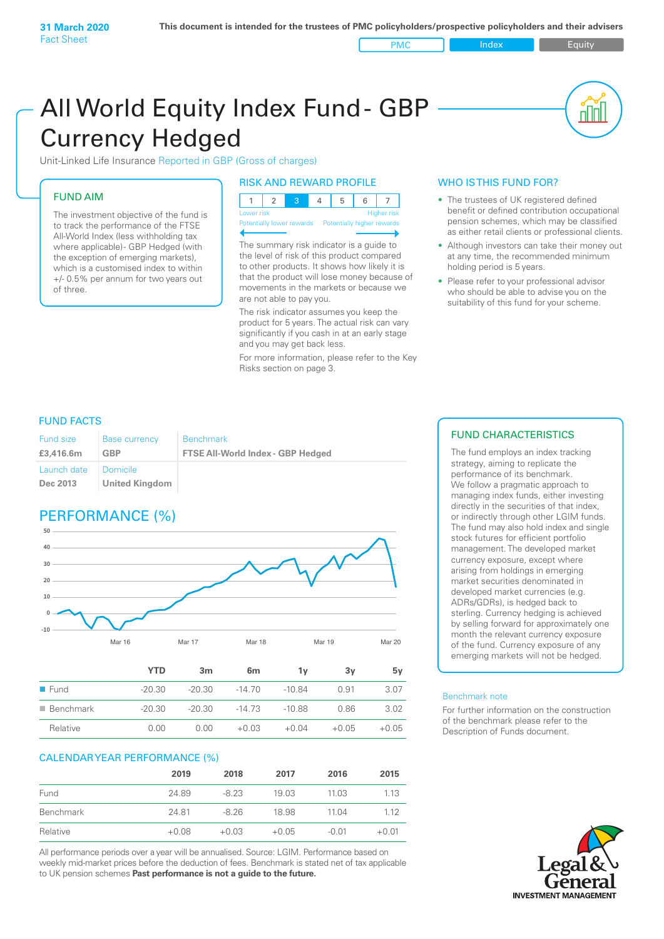PMC Index PMC Equity

## All World Equity Index Fund- GBP Currency Hedged

Unit-Linked Life Insurance Reported in GBP (Gross of charges)

#### FUND AIM

The investment objective of the fund is to track the performance of the FTSE All-World Index (less withholding tax where applicable)- GBP Hedged (with the exception of emerging markets), which is a customised index to within +/- 0.5% per annum for two years out of three.

#### RISK AND REWARD PROFILE

| Lower risk |  |  | <b>Higher</b> risk |
|------------|--|--|--------------------|

Potentially lower rewards Potentially higher rev

The summary risk indicator is a guide to the level of risk of this product compared to other products. It shows how likely it is that the product will lose money because of movements in the markets or because we are not able to pay you.

The risk indicator assumes you keep the product for 5 years. The actual risk can vary significantly if you cash in at an early stage and you may get back less.

For more information, please refer to the Key Risks section on page 3.

#### WHO IS THIS FUND FOR?

- The trustees of UK registered defined benefit or defined contribution occupational pension schemes, which may be classified as either retail clients or professional clients.
- Although investors can take their money out at any time, the recommended minimum holding period is 5 years.
- Please refer to your professional advisor who should be able to advise you on the suitability of this fund for your scheme.

#### FUND FACTS

| <b>Fund size</b>        | <b>Base currency</b>         | <b>Benchmark</b>                         |
|-------------------------|------------------------------|------------------------------------------|
| £3,416.6m               | <b>GBP</b>                   | <b>FTSE All-World Index - GBP Hedged</b> |
| Launch date<br>Dec 2013 | I Domicile<br>United Kingdom |                                          |

### PERFORMANCE (%)



|                          | <b>YTD</b> | 3m       | 6 <sub>m</sub> | 1ν       | 3v      | 5v      |
|--------------------------|------------|----------|----------------|----------|---------|---------|
| $\blacksquare$ Fund      | $-20.30$   | $-20.30$ | $-14.70$       | -10.84   | 0.91    | 3.07    |
| $\blacksquare$ Benchmark | $-20.30$   | $-20.30$ | $-14.73$       | $-10.88$ | 0.86    | 3.02    |
| Relative                 | 0.00       | 0.00     | $+0.03$        | $+0.04$  | $+0.05$ | $+0.05$ |

#### CALENDAR YEAR PERFORMANCE (%)

|           | 2019    | 2018    | 2017    | 2016    | 2015    |
|-----------|---------|---------|---------|---------|---------|
| Fund      | 24.89   | $-8.23$ | 19.03   | 11.03   | 1.13    |
| Benchmark | 24.81   | $-8.26$ | 18.98   | 11.04   | 1 1 2   |
| Relative  | $+0.08$ | $+0.03$ | $+0.05$ | $-0.01$ | $+0.01$ |

All performance periods over a year will be annualised. Source: LGIM. Performance based on weekly mid-market prices before the deduction of fees. Benchmark is stated net of tax applicable to UK pension schemes **Past performance is not a guide to the future.**

#### FUND CHARACTERISTICS

The fund employs an index tracking strategy, aiming to replicate the performance of its benchmark. We follow a pragmatic approach to managing index funds, either investing directly in the securities of that index, or indirectly through other LGIM funds. The fund may also hold index and single stock futures for efficient portfolio management. The developed market currency exposure, except where arising from holdings in emerging market securities denominated in developed market currencies (e.g. ADRs/GDRs), is hedged back to sterling. Currency hedging is achieved by selling forward for approximately one month the relevant currency exposure of the fund. Currency exposure of any emerging markets will not be hedged.

#### Benchmark note

For further information on the construction of the benchmark please refer to the Description of Funds document.

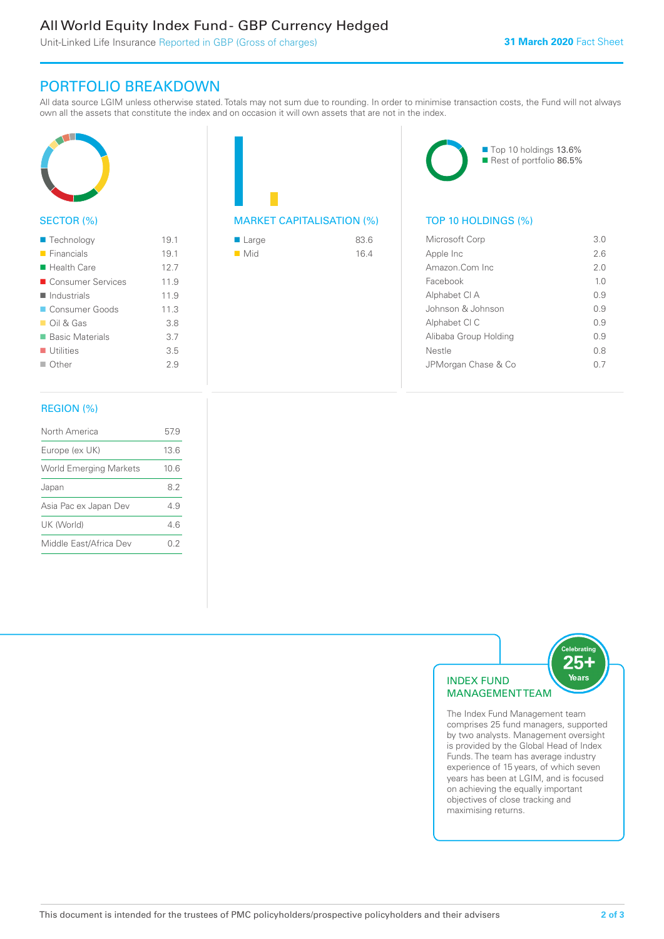#### All World Equity Index Fund - GBP Currency Hedged

Unit-Linked Life Insurance Reported in GBP (Gross of charges)

#### PORTFOLIO BREAKDOWN

All data source LGIM unless otherwise stated. Totals may not sum due to rounding. In order to minimise transaction costs, the Fund will not always own all the assets that constitute the index and on occasion it will own assets that are not in the index.



#### SECTOR (%)

| $\blacksquare$ Technology | 19.1 |
|---------------------------|------|
| $\blacksquare$ Financials | 19.1 |
| ■ Health Care             | 12.7 |
| ■ Consumer Services       | 11.9 |
| Industrials               | 11.9 |
| Consumer Goods            | 11.3 |
| $\Box$ Oil & Gas          | 3.8  |
| ■ Basic Materials         | 3.7  |
| $\blacksquare$ Utilities  | 3.5  |
| $\Box$ Other              | 29   |
|                           |      |

#### REGION (%)

| North America                 | 57.9 |
|-------------------------------|------|
| Europe (ex UK)                | 13.6 |
| <b>World Emerging Markets</b> | 10.6 |
| Japan                         | 82   |
| Asia Pac ex Japan Dev         | 49   |
| UK (World)                    | 46   |
| Middle East/Africa Dev        | በ 2  |
|                               |      |

# MARKET CAPITALISATION (%) TOP 10 HOLDINGS (%)

| ■ Large            | 83.6 |
|--------------------|------|
| $\blacksquare$ Mid | 16.4 |



| Microsoft Corp        | 3 O            |
|-----------------------|----------------|
| Apple Inc             | 26             |
| Amazon Com Inc        | 2 O            |
| Facebook              | 1 <sub>0</sub> |
| Alphabet CI A         | O 9            |
| Johnson & Johnson     | O 9            |
| Alphabet CI C         | 09             |
| Alibaba Group Holding | O 9            |
| Nestle                | 0 S            |
| JPMorgan Chase & Co   |                |
|                       |                |



The Index Fund Management team comprises 25 fund managers, supported by two analysts. Management oversight is provided by the Global Head of Index Funds. The team has average industry experience of 15 years, of which seven years has been at LGIM, and is focused on achieving the equally important objectives of close tracking and maximising returns.